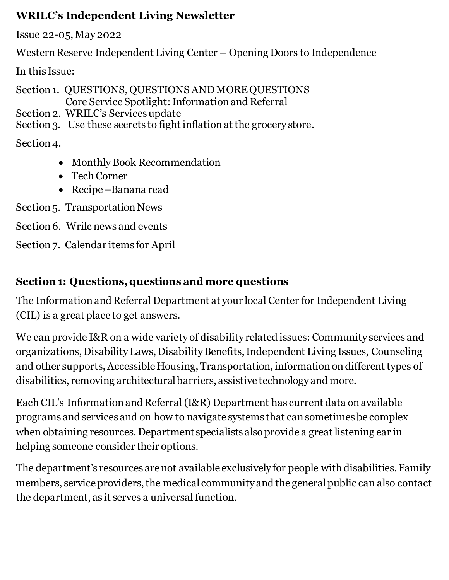#### **WRILC's Independent Living Newsletter**

Issue 22-05,May 2022

Western Reserve Independent Living Center – Opening Doors to Independence

In this Issue:

Section 1. QUESTIONS, QUESTIONS AND MORE QUESTIONS Core Service Spotlight: Information and Referral

Section 2. WRILC's Services update

Section 3. Use these secrets to fight inflation at the grocery store.

Section 4.

- Monthly Book Recommendation
- Tech Corner
- Recipe –Banana read

Section 5. Transportation News

Section 6. Wrilc news and events

Section 7. Calendar items for April

# **Section 1: Questions, questions and more questions**

The Information and Referral Department at your local Center for Independent Living (CIL) is a great place to get answers.

We can provide I&R on a wide variety of disability related issues: Community services and organizations, Disability Laws, Disability Benefits, Independent Living Issues, Counseling and other supports, Accessible Housing, Transportation, information on different types of disabilities, removing architectural barriers, assistive technology and more.

Each CIL's Information and Referral (I&R) Department has current data on available programs and services and on how to navigate systems that can sometimes be complex when obtaining resources. Department specialists also provide a great listening ear in helping someone consider their options.

The department's resources are not available exclusively for people with disabilities. Family members, service providers, the medical community and the general public can also contact the department, as it serves a universal function.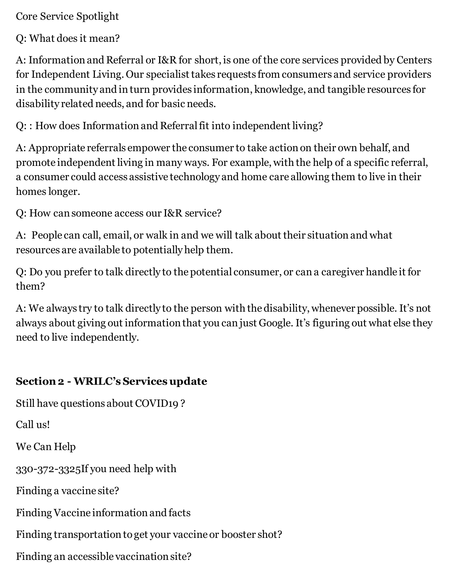Core Service Spotlight

Q: What does it mean?

A: Information and Referral or I&R for short, is one of the core services provided by Centers for Independent Living. Our specialist takes requests from consumers and service providers in the community and in turn provides information, knowledge, and tangible resources for disability related needs, and for basic needs.

Q: : How does Information and Referral fit into independent living?

A: Appropriate referrals empower the consumer to take action on their own behalf, and promote independent living in many ways. For example, with the help of a specific referral, a consumer could access assistive technology and home care allowing them to live in their homes longer.

Q: How can someone access our I&R service?

A: People can call, email, or walk in and we will talk about their situation and what resources are available to potentially help them.

Q: Do you prefer to talk directly to the potential consumer, or can a caregiver handle it for them?

A: We always try to talk directly to the person with the disability, whenever possible. It's not always about giving out information that you can just Google. It's figuring out what else they need to live independently.

#### **Section 2 - WRILC's Services update**

Still have questions about COVID19 ?

Call us!

We Can Help

330-372-3325If you need help with

Finding a vaccine site?

Finding Vaccine information and facts

Finding transportation to get your vaccine or booster shot?

Finding an accessible vaccination site?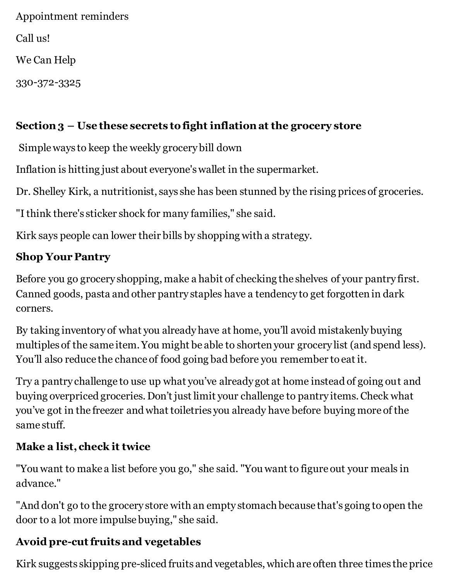Appointment reminders Call us! We Can Help 330-372-3325

# **Section 3 – Use these secrets to fight inflation at the grocery store**

Simple ways to keep the weekly grocery bill down

Inflation is hitting just about everyone's wallet in the supermarket.

Dr. Shelley Kirk, a nutritionist, says she has been stunned by the rising prices of groceries.

"I think there's sticker shock for many families," she said.

Kirk says people can lower their bills by shopping with a strategy.

# **Shop Your Pantry**

Before you go grocery shopping, make a habit of checking the shelves of your pantry first. Canned goods, pasta and other pantry staples have a tendency to get forgotten in dark corners.

By taking inventory of what you already have at home, you'll avoid mistakenly buying multiples of the same item. You might be able to shorten your grocery list (and spend less). You'll also reduce the chance of food going bad before you remember to eat it.

Try a pantry challenge to use up what you've already got at home instead of going out and buying overpriced groceries. Don't just limit your challenge to pantry items. Check what you've got in the freezer and what toiletries you already have before buying more of the same stuff.

# **Make a list, check it twice**

"You want to make a list before you go," she said. "You want to figure out your meals in advance."

"And don't go to the grocery store with an empty stomach because that's going to open the door to a lot more impulse buying," she said.

# **Avoid pre-cut fruits and vegetables**

Kirk suggests skipping pre-sliced fruits and vegetables, which are often three times the price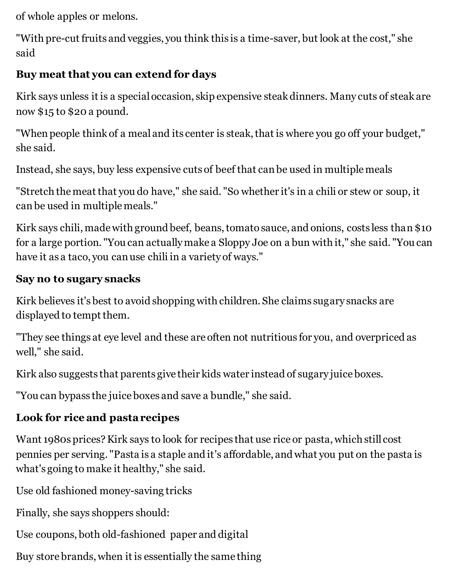of whole apples or melons.

"With pre-cut fruits and veggies, you think this is a time-saver, but look at the cost," she said

# **Buy meat that you can extend for days**

Kirk says unless it is a special occasion, skip expensive steak dinners. Many cuts of steak are now \$15 to \$20 a pound.

"When people think of a meal and its center is steak, that is where you go off your budget," she said.

Instead, she says, buy less expensive cuts of beef that can be used in multiple meals

"Stretch the meat that you do have," she said. "So whether it's in a chili or stew or soup, it can be used in multiple meals."

Kirk says chili, made with ground beef, beans, tomato sauce, and onions, costs less than \$10 for a large portion. "You can actually make a Sloppy Joe on a bun with it," she said. "You can have it as a taco, you can use chili in a variety of ways."

#### **Say no to sugary snacks**

Kirk believes it's best to avoid shopping with children. She claims sugary snacks are displayed to tempt them.

"They see things at eye level and these are often not nutritious for you, and overpriced as well," she said.

Kirk also suggests that parents give their kids water instead of sugary juice boxes.

"You can bypass the juice boxes and save a bundle," she said.

# **Look for rice and pasta recipes**

Want 1980s prices? Kirk says to look for recipes that use rice or pasta, which still cost pennies per serving. "Pasta is a staple and it's affordable, and what you put on the pasta is what's going to make it healthy," she said.

Use old fashioned money-saving tricks

Finally, she says shoppers should:

Use coupons, both old-fashioned paper and digital

Buy store brands, when it is essentially the same thing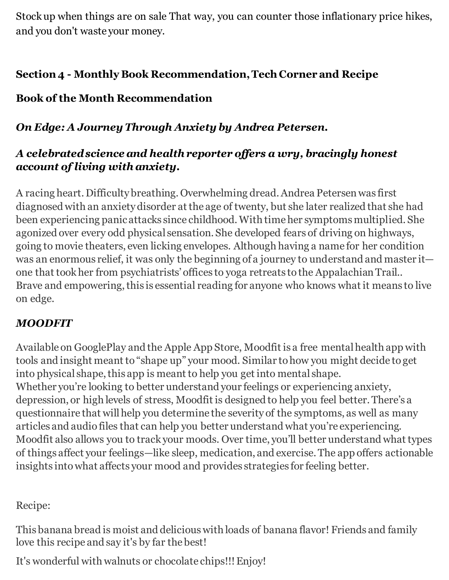Stock up when things are on sale That way, you can counter those inflationary price hikes, and you don't waste your money.

#### **Section 4 - Monthly Book Recommendation, Tech Corner and Recipe**

# **Book of the Month Recommendation**

## *On Edge: A Journey Through Anxiety by Andrea Petersen.*

## *A celebrated science and health reporter offers a wry, bracingly honest account of living with anxiety.*

A racing heart. Difficulty breathing. Overwhelming dread. Andrea Petersen was first diagnosed with an anxiety disorder at the age of twenty, but she later realized that she had been experiencing panic attacks since childhood. With time her symptoms multiplied. She agonized over every odd physical sensation. She developed fears of driving on highways, going to movie theaters, even licking envelopes. Although having a name for her condition was an enormous relief, it was only the beginning of a journey to understand and master it one that took her from psychiatrists' offices to yoga retreats to the Appalachian Trail.. Brave and empowering, this is essential reading for anyone who knows what it means to live on edge.

# *MOODFIT*

Available on GooglePlay and the Apple App Store, Moodfit is a free mental health app with tools and insight meant to "shape up" your mood. Similar to how you might decide to get into physical shape, this app is meant to help you get into mental shape. Whether you're looking to better understand your feelings or experiencing anxiety, depression, or high levels of stress, Moodfit is designed to help you feel better. There's a questionnaire that will help you determine the severity of the symptoms, as well as many articles and audio files that can help you better understand what you're experiencing. Moodfit also allows you to track your moods. Over time, you'll better understand what types of things affect your feelings—like sleep, medication, and exercise. The app offers actionable insights into what affects your mood and provides strategies for feeling better.

# Recipe:

This banana bread is moist and delicious with loads of banana flavor! Friends and family love this recipe and say it's by far the best!

It's wonderful with walnuts or chocolate chips!!! Enjoy!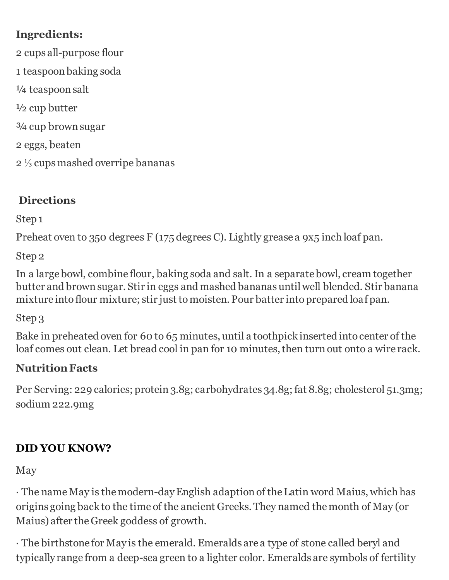# **Ingredients:**

2 cups all-purpose flour 1 teaspoon baking soda ¼ teaspoon salt  $\frac{1}{2}$  cup butter ¾ cup brown sugar 2 eggs, beaten 2 ⅓ cups mashed overripe bananas

# **Directions**

Step 1

Preheat oven to 350 degrees F (175 degrees C). Lightly grease a 9x5 inch loaf pan.

Step 2

In a large bowl, combine flour, baking soda and salt. In a separate bowl, cream together butter and brown sugar. Stir in eggs and mashed bananas until well blended. Stir banana mixture into flour mixture; stir just to moisten. Pour batter into prepared loaf pan.

Step 3

Bake in preheated oven for 60 to 65 minutes, until a toothpick inserted into center of the loaf comes out clean. Let bread cool in pan for 10 minutes, then turn out onto a wire rack.

# **Nutrition Facts**

Per Serving: 229 calories; protein 3.8g; carbohydrates 34.8g; fat 8.8g; cholesterol 51.3mg; sodium 222.9mg

# **DID YOU KNOW?**

May

· The name May is the modern-day English adaption of the Latin word Maius, which has origins going back to the time of the ancient Greeks. They named the month of May (or Maius) after the Greek goddess of growth.

· The birthstone for May is the emerald. Emeralds are a type of stone called beryl and typically range from a deep-sea green to a lighter color. Emeralds are symbols of fertility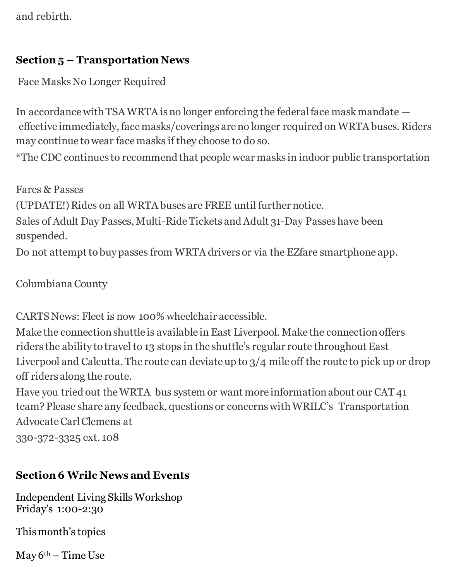and rebirth.

#### **Section 5 – Transportation News**

Face Masks No Longer Required

In accordance with TSA WRTA is no longer enforcing the federal face mask mandate effective immediately, face masks/coverings are no longer required on WRTA buses. Riders may continue to wear face masks if they choose to do so.

\*The CDC continues to recommend that people wear masks in indoor public transportation

Fares & Passes (UPDATE!) Rides on all WRTA buses are FREE until further notice. Sales of Adult Day Passes, Multi-Ride Tickets and Adult 31-Day Passes have been suspended.

Do not attempt to buy passes from WRTA drivers or via the EZfare smartphone app.

Columbiana County

CARTS News: Fleet is now 100% wheelchair accessible.

Make the connection shuttle is available in East Liverpool. Make the connection offers riders the ability to travel to 13 stops in the shuttle's regular route throughout East Liverpool and Calcutta. The route can deviate up to 3/4 mile off the route to pick up or drop off riders along the route.

Have you tried out the WRTA bus system or want more information about our CAT 41 team? Please share any feedback, questions or concerns with WRILC's Transportation Advocate Carl Clemens at

330-372-3325 ext. 108

#### **Section 6 Wrilc News and Events**

Independent Living Skills Workshop Friday's 1:00-2:30

This month's topics

 $May 6<sup>th</sup> – Time Use$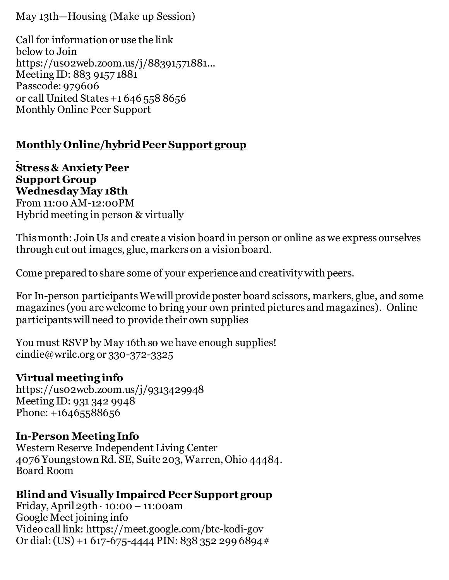May 13th—Housing (Make up Session)

Call for information or use the link below to Join https://us02web.zoom.us/j/88391571881... Meeting ID: 883 9157 1881 Passcode: 979606 or call United States +1 646 558 8656 Monthly Online Peer Support

#### **Monthly Online/hybrid Peer Support group**

**Stress & Anxiety Peer Support Group Wednesday May 18th**  From 11:00 AM-12:00PM Hybrid meeting in person & virtually

This month: Join Us and create a vision board in person or online as we express ourselves through cut out images, glue, markers on a vision board.

Come prepared to share some of your experience and creativity with peers.

For In-person participants We will provide poster board scissors, markers, glue, and some magazines (you are welcome to bring your own printed pictures and magazines). Online participants will need to provide their own supplies

You must RSVP by May 16th so we have enough supplies! cindie@wrilc.org or 330-372-3325

#### **Virtual meeting info**

https://us02web.zoom.us/j/9313429948 Meeting ID: 931 342 9948 Phone: +16465588656

#### **In-Person Meeting Info**

Western Reserve Independent Living Center 4076 Youngstown Rd. SE, Suite 203, Warren, Ohio 44484. Board Room

#### **Blind and Visually Impaired Peer Support group**

Friday, April 29th  $\cdot$  10:00 – 11:00am Google Meet joining info Video call link: https://meet.google.com/btc-kodi-gov Or dial: (US) +1 617-675-4444 PIN: 838 352 299 6894#